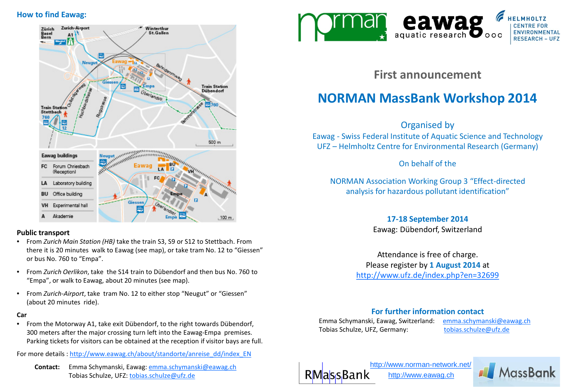# **How to find Eawag:**



### **Public transport**

- From *Zurich Main Station (HB)* take the train S3, S9 or S12 to Stettbach. From there it is 20 minutes walk to Eawag (see map), or take tram No. 12 to "Giessen" or bus No. 760 to "Empa".
- From *Zurich Oerlikon*, take the S14 train to Dübendorf and then bus No. 760 to "Empa", or walk to Eawag, about 20 minutes (see map).
- From *Zurich-Airport*, take tram No. 12 to either stop "Neugut" or "Giessen" (about 20 minutes ride).

#### **Car**

• From the Motorway A1, take exit Dübendorf, to the right towards Dübendorf, 300 meters after the major crossing turn left into the Eawag-Empa premises. Parking tickets for visitors can be obtained at the reception if visitor bays are full.

For more details : [http://www.eawag.ch/about/standorte/anreise\\_dd/index\\_EN](http://www.eawag.ch/about/standorte/anreise_dd/index_EN)

 **Contact:** Emma Schymanski, Eawag: [emma.schymanski@eawag.ch](mailto:emma.schymanski@eawag.ch) Tobias Schulze, UFZ: [tobias.schulze@ufz.de](mailto:tobias.schulze@ufz.de)



**First announcement**

# **NORMAN MassBank Workshop 2014**

Organised by

Eawag - Swiss Federal Institute of Aquatic Science and Technology UFZ – Helmholtz Centre for Environmental Research (Germany)

On behalf of the

NORMAN Association Working Group 3 "Effect-directed analysis for hazardous pollutant identification"

# **17-18 September 2014**

Eawag: Dübendorf, Switzerland

Attendance is free of charge. Please register by **1 August 2014** at <http://www.ufz.de/index.php?en=32699>

# **For further information contact**

Emma Schymanski, Eawag, Switzerland: [emma.schymanski@eawag.ch](mailto:juliane.hollender@eawag.ch) Tobias Schulze, UFZ, Germany: [tobias.schulze@ufz.de](mailto:tobias.schulze@ufz.de)



<http://www.norman-network.net/> [http://www.eawag.ch](http://www.norman-network.net/)